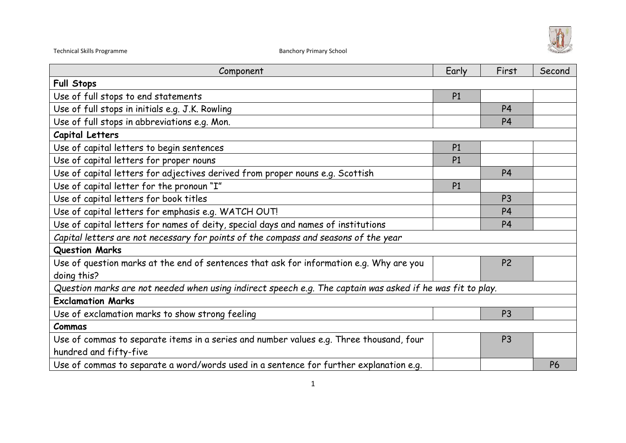

| Component                                                                                                  | Early          | First          | Second    |  |
|------------------------------------------------------------------------------------------------------------|----------------|----------------|-----------|--|
| <b>Full Stops</b>                                                                                          |                |                |           |  |
| Use of full stops to end statements                                                                        | P <sub>1</sub> |                |           |  |
| Use of full stops in initials e.g. J.K. Rowling                                                            |                | P <sub>4</sub> |           |  |
| Use of full stops in abbreviations e.g. Mon.                                                               |                | P <sub>4</sub> |           |  |
| Capital Letters                                                                                            |                |                |           |  |
| Use of capital letters to begin sentences                                                                  | P1             |                |           |  |
| Use of capital letters for proper nouns                                                                    | P1             |                |           |  |
| Use of capital letters for adjectives derived from proper nouns e.g. Scottish                              |                | <b>P4</b>      |           |  |
| Use of capital letter for the pronoun "I"                                                                  | P <sub>1</sub> |                |           |  |
| Use of capital letters for book titles                                                                     |                | P <sub>3</sub> |           |  |
| Use of capital letters for emphasis e.g. WATCH OUT!                                                        |                | P <sub>4</sub> |           |  |
| Use of capital letters for names of deity, special days and names of institutions                          |                | <b>P4</b>      |           |  |
| Capital letters are not necessary for points of the compass and seasons of the year                        |                |                |           |  |
| <b>Question Marks</b>                                                                                      |                |                |           |  |
| Use of question marks at the end of sentences that ask for information e.g. Why are you                    |                | P <sub>2</sub> |           |  |
| doing this?                                                                                                |                |                |           |  |
| Question marks are not needed when using indirect speech e.g. The captain was asked if he was fit to play. |                |                |           |  |
| <b>Exclamation Marks</b>                                                                                   |                |                |           |  |
| Use of exclamation marks to show strong feeling                                                            |                | P <sub>3</sub> |           |  |
| Commas                                                                                                     |                |                |           |  |
| Use of commas to separate items in a series and number values e.g. Three thousand, four                    |                | P <sub>3</sub> |           |  |
| hundred and fifty-five                                                                                     |                |                |           |  |
| Use of commas to separate a word/words used in a sentence for further explanation e.g.                     |                |                | <b>P6</b> |  |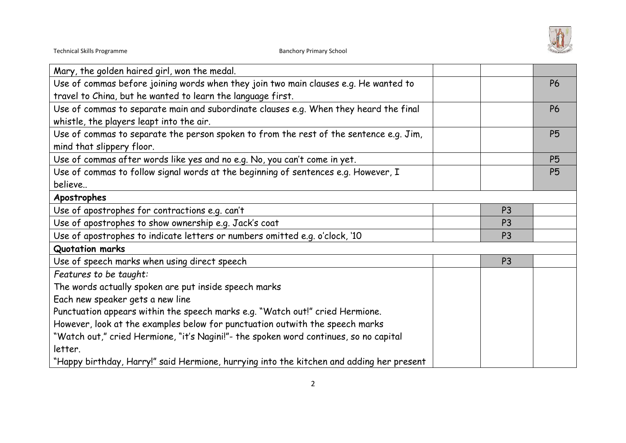

| Mary, the golden haired girl, won the medal.                                             |                |           |
|------------------------------------------------------------------------------------------|----------------|-----------|
| Use of commas before joining words when they join two main clauses e.g. He wanted to     |                | <b>P6</b> |
| travel to China, but he wanted to learn the language first.                              |                |           |
| Use of commas to separate main and subordinate clauses e.g. When they heard the final    |                | <b>P6</b> |
| whistle, the players leapt into the air.                                                 |                |           |
| Use of commas to separate the person spoken to from the rest of the sentence e.g. Jim,   |                | <b>P5</b> |
| mind that slippery floor.                                                                |                |           |
| Use of commas after words like yes and no e.g. No, you can't come in yet.                |                | <b>P5</b> |
| Use of commas to follow signal words at the beginning of sentences e.g. However, I       |                | <b>P5</b> |
| believe                                                                                  |                |           |
| Apostrophes                                                                              |                |           |
| Use of apostrophes for contractions e.g. can't                                           | P <sub>3</sub> |           |
| Use of apostrophes to show ownership e.g. Jack's coat                                    | P <sub>3</sub> |           |
| Use of apostrophes to indicate letters or numbers omitted e.g. o'clock, '10              | P <sub>3</sub> |           |
| <b>Quotation marks</b>                                                                   |                |           |
| Use of speech marks when using direct speech                                             | P <sub>3</sub> |           |
| Features to be taught:                                                                   |                |           |
| The words actually spoken are put inside speech marks                                    |                |           |
| Each new speaker gets a new line                                                         |                |           |
| Punctuation appears within the speech marks e.g. "Watch out!" cried Hermione.            |                |           |
| However, look at the examples below for punctuation outwith the speech marks             |                |           |
| "Watch out," cried Hermione, "it's Nagini!"- the spoken word continues, so no capital    |                |           |
| letter.                                                                                  |                |           |
| "Happy birthday, Harry!" said Hermione, hurrying into the kitchen and adding her present |                |           |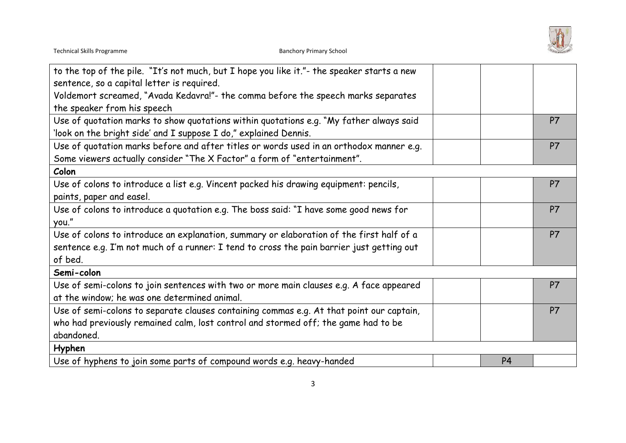

| to the top of the pile. "It's not much, but I hope you like it."- the speaker starts a new |                |           |
|--------------------------------------------------------------------------------------------|----------------|-----------|
| sentence, so a capital letter is required.                                                 |                |           |
| Voldemort screamed, "Avada Kedavra!"- the comma before the speech marks separates          |                |           |
| the speaker from his speech                                                                |                |           |
| Use of quotation marks to show quotations within quotations e.g. "My father always said    |                | P7        |
| 'look on the bright side' and I suppose I do," explained Dennis.                           |                |           |
| Use of quotation marks before and after titles or words used in an orthodox manner e.g.    |                | P7        |
| Some viewers actually consider "The X Factor" a form of "entertainment".                   |                |           |
| Colon                                                                                      |                |           |
| Use of colons to introduce a list e.g. Vincent packed his drawing equipment: pencils,      |                | P7        |
| paints, paper and easel.                                                                   |                |           |
| Use of colons to introduce a quotation e.g. The boss said: "I have some good news for      |                | P7        |
| you."                                                                                      |                |           |
| Use of colons to introduce an explanation, summary or elaboration of the first half of a   |                | <b>P7</b> |
| sentence e.g. I'm not much of a runner: I tend to cross the pain barrier just getting out  |                |           |
| of bed.                                                                                    |                |           |
| Semi-colon                                                                                 |                |           |
| Use of semi-colons to join sentences with two or more main clauses e.g. A face appeared    |                | P7        |
| at the window; he was one determined animal.                                               |                |           |
| Use of semi-colons to separate clauses containing commas e.g. At that point our captain,   |                | P7        |
| who had previously remained calm, lost control and stormed off; the game had to be         |                |           |
| abandoned.                                                                                 |                |           |
| Hyphen                                                                                     |                |           |
| Use of hyphens to join some parts of compound words e.g. heavy-handed                      | P <sub>4</sub> |           |
|                                                                                            |                |           |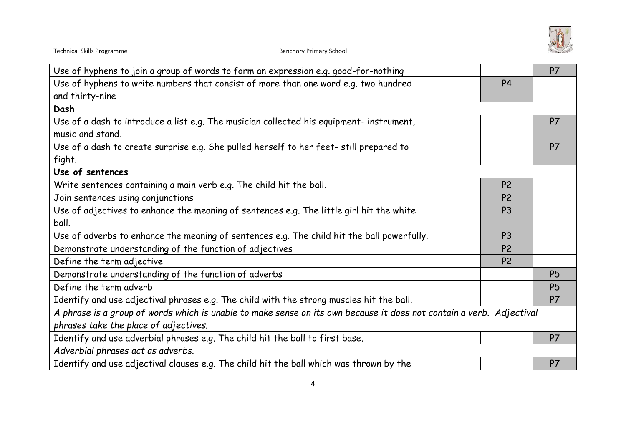

| Use of hyphens to join a group of words to form an expression e.g. good-for-nothing                                  |                | P <sub>7</sub> |
|----------------------------------------------------------------------------------------------------------------------|----------------|----------------|
| Use of hyphens to write numbers that consist of more than one word e.g. two hundred                                  | <b>P4</b>      |                |
| and thirty-nine                                                                                                      |                |                |
| Dash                                                                                                                 |                |                |
| Use of a dash to introduce a list e.g. The musician collected his equipment- instrument,                             |                | <b>P7</b>      |
| music and stand.                                                                                                     |                |                |
| Use of a dash to create surprise e.g. She pulled herself to her feet- still prepared to                              |                | P7             |
| fight.                                                                                                               |                |                |
| Use of sentences                                                                                                     |                |                |
| Write sentences containing a main verb e.g. The child hit the ball.                                                  | P <sub>2</sub> |                |
| Join sentences using conjunctions                                                                                    | P <sub>2</sub> |                |
| Use of adjectives to enhance the meaning of sentences e.g. The little girl hit the white                             | P <sub>3</sub> |                |
| ball.                                                                                                                |                |                |
| Use of adverbs to enhance the meaning of sentences e.g. The child hit the ball powerfully.                           | P <sub>3</sub> |                |
| Demonstrate understanding of the function of adjectives                                                              | P <sub>2</sub> |                |
| Define the term adjective                                                                                            | P <sub>2</sub> |                |
| Demonstrate understanding of the function of adverbs                                                                 |                | <b>P5</b>      |
| Define the term adverb                                                                                               |                | <b>P5</b>      |
| Identify and use adjectival phrases e.g. The child with the strong muscles hit the ball.                             |                | P7             |
| A phrase is a group of words which is unable to make sense on its own because it does not contain a verb. Adjectival |                |                |
| phrases take the place of adjectives.                                                                                |                |                |
| Identify and use adverbial phrases e.g. The child hit the ball to first base.                                        |                | P7             |
| Adverbial phrases act as adverbs.                                                                                    |                |                |
| Identify and use adjectival clauses e.g. The child hit the ball which was thrown by the                              |                | <b>P7</b>      |
|                                                                                                                      |                |                |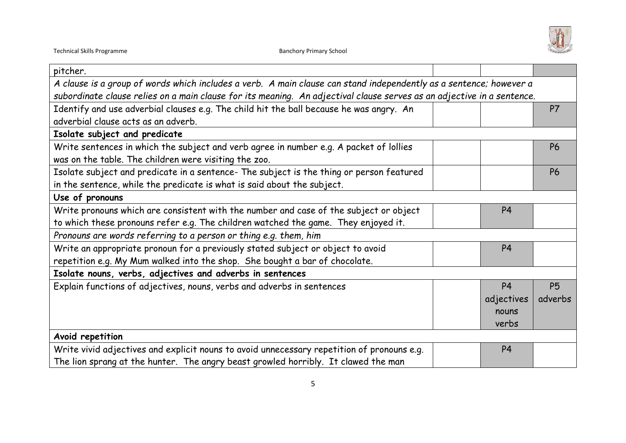

| pitcher.                                                                                                               |                |           |
|------------------------------------------------------------------------------------------------------------------------|----------------|-----------|
| A clause is a group of words which includes a verb. A main clause can stand independently as a sentence; however a     |                |           |
| subordinate clause relies on a main clause for its meaning. An adjectival clause serves as an adjective in a sentence. |                |           |
| Identify and use adverbial clauses e.g. The child hit the ball because he was angry. An                                |                | P7        |
| adverbial clause acts as an adverb.                                                                                    |                |           |
| Isolate subject and predicate                                                                                          |                |           |
| Write sentences in which the subject and verb agree in number e.g. A packet of lollies                                 |                | <b>P6</b> |
| was on the table. The children were visiting the zoo.                                                                  |                |           |
| Isolate subject and predicate in a sentence- The subject is the thing or person featured                               |                | <b>P6</b> |
| in the sentence, while the predicate is what is said about the subject.                                                |                |           |
| Use of pronouns                                                                                                        |                |           |
| Write pronouns which are consistent with the number and case of the subject or object                                  | P <sub>4</sub> |           |
| to which these pronouns refer e.g. The children watched the game. They enjoyed it.                                     |                |           |
| Pronouns are words referring to a person or thing e.g. them, him                                                       |                |           |
| Write an appropriate pronoun for a previously stated subject or object to avoid                                        | P <sub>4</sub> |           |
| repetition e.g. My Mum walked into the shop. She bought a bar of chocolate.                                            |                |           |
| Isolate nouns, verbs, adjectives and adverbs in sentences                                                              |                |           |
| Explain functions of adjectives, nouns, verbs and adverbs in sentences                                                 | <b>P4</b>      | <b>P5</b> |
|                                                                                                                        | adjectives     | adverbs   |
|                                                                                                                        | nouns          |           |
|                                                                                                                        | verbs          |           |
| Avoid repetition                                                                                                       |                |           |
| Write vivid adjectives and explicit nouns to avoid unnecessary repetition of pronouns e.g.                             | P <sub>4</sub> |           |
| The lion sprang at the hunter. The angry beast growled horribly. It clawed the man                                     |                |           |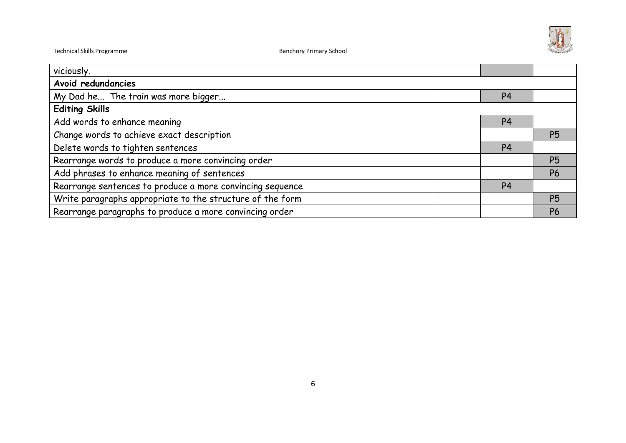

| viciously.                                                |                |                |           |
|-----------------------------------------------------------|----------------|----------------|-----------|
| Avoid redundancies                                        |                |                |           |
| My Dad he The train was more bigger                       |                | P <sub>4</sub> |           |
| <b>Editing Skills</b>                                     |                |                |           |
| Add words to enhance meaning                              |                | P <sub>4</sub> |           |
| Change words to achieve exact description                 |                | <b>P5</b>      |           |
| Delete words to tighten sentences                         | P <sub>4</sub> |                |           |
| Rearrange words to produce a more convincing order        |                |                | <b>P5</b> |
| Add phrases to enhance meaning of sentences               |                |                | <b>P6</b> |
| Rearrange sentences to produce a more convincing sequence | P <sub>4</sub> |                |           |
| Write paragraphs appropriate to the structure of the form |                | <b>P5</b>      |           |
| Rearrange paragraphs to produce a more convincing order   |                |                | <b>P6</b> |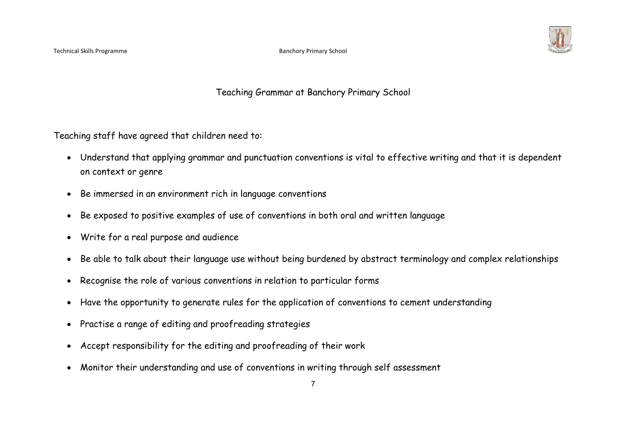

Teaching Grammar at Banchory Primary School

Teaching staff have agreed that children need to:

- Understand that applying grammar and punctuation conventions is vital to effective writing and that it is dependent on context or genre
- Be immersed in an environment rich in language conventions
- Be exposed to positive examples of use of conventions in both oral and written language
- Write for a real purpose and audience
- Be able to talk about their language use without being burdened by abstract terminology and complex relationships
- Recognise the role of various conventions in relation to particular forms
- Have the opportunity to generate rules for the application of conventions to cement understanding
- Practise a range of editing and proofreading strategies
- Accept responsibility for the editing and proofreading of their work
- Monitor their understanding and use of conventions in writing through self assessment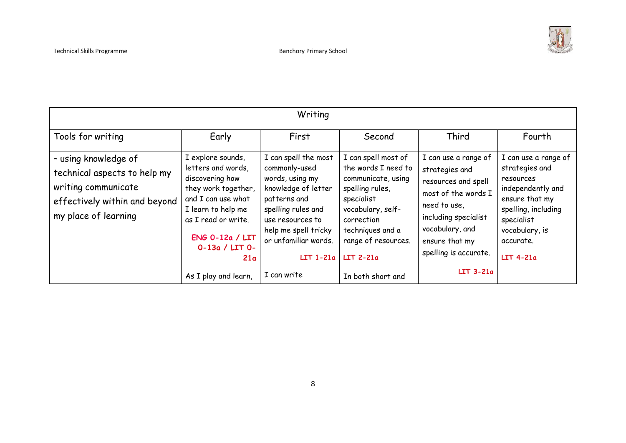

| Writing                                                                                                                              |                                                                                                                                                                                                                            |                                                                                                                                                                                                                         |                                                                                                                                                                                                                     |                                                                                                                                                                                                              |                                                                                                                                                                                       |  |
|--------------------------------------------------------------------------------------------------------------------------------------|----------------------------------------------------------------------------------------------------------------------------------------------------------------------------------------------------------------------------|-------------------------------------------------------------------------------------------------------------------------------------------------------------------------------------------------------------------------|---------------------------------------------------------------------------------------------------------------------------------------------------------------------------------------------------------------------|--------------------------------------------------------------------------------------------------------------------------------------------------------------------------------------------------------------|---------------------------------------------------------------------------------------------------------------------------------------------------------------------------------------|--|
| Tools for writing                                                                                                                    | Early                                                                                                                                                                                                                      | First                                                                                                                                                                                                                   | Second                                                                                                                                                                                                              | Third                                                                                                                                                                                                        | Fourth                                                                                                                                                                                |  |
| - using knowledge of<br>technical aspects to help my<br>writing communicate<br>effectively within and beyond<br>my place of learning | I explore sounds,<br>letters and words,<br>discovering how<br>they work together,<br>and I can use what<br>I learn to help me<br>as I read or write.<br>ENG 0-12a / LIT<br>$0-13a / LIT 0-$<br>21a<br>As I play and learn, | I can spell the most<br>commonly-used<br>words, using my<br>knowledge of letter<br>patterns and<br>spelling rules and<br>use resources to<br>help me spell tricky<br>or unfamiliar words.<br>$LIT 1-21a$<br>I can write | I can spell most of<br>the words I need to<br>communicate, using<br>spelling rules,<br>specialist<br>vocabulary, self-<br>correction<br>techniques and a<br>range of resources.<br>$LIT 2-21a$<br>In both short and | I can use a range of<br>strategies and<br>resources and spell<br>most of the words I<br>need to use,<br>including specialist<br>vocabulary, and<br>ensure that my<br>spelling is accurate.<br>$LIT$ 3-21 $a$ | I can use a range of<br>strategies and<br>resources<br>independently and<br>ensure that my<br>spelling, including<br>specialist<br>vocabulary, is<br>accurate.<br>$LIT$ 4-21 $\alpha$ |  |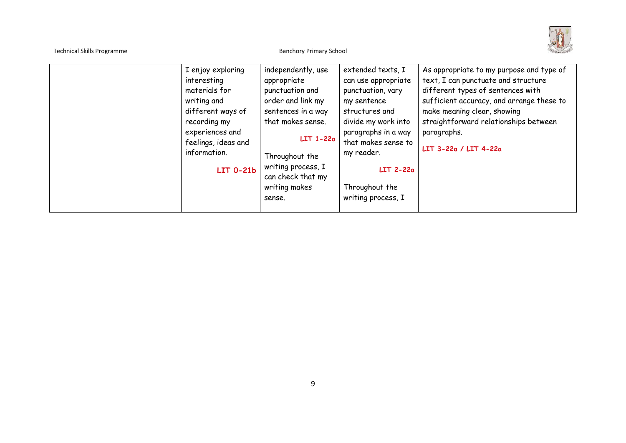| <b>Technical Skills Programme</b> |                                                                                                                                                                              | <b>Banchory Primary School</b>                                                                                                                                                                                            |                                                                                                                                                                                                                                             |                                                                                                                                                                                                                                                                                       |
|-----------------------------------|------------------------------------------------------------------------------------------------------------------------------------------------------------------------------|---------------------------------------------------------------------------------------------------------------------------------------------------------------------------------------------------------------------------|---------------------------------------------------------------------------------------------------------------------------------------------------------------------------------------------------------------------------------------------|---------------------------------------------------------------------------------------------------------------------------------------------------------------------------------------------------------------------------------------------------------------------------------------|
|                                   | I enjoy exploring<br>interesting<br>materials for<br>writing and<br>different ways of<br>recording my<br>experiences and<br>feelings, ideas and<br>information.<br>LIT 0-21b | independently, use<br>appropriate<br>punctuation and<br>order and link my<br>sentences in a way<br>that makes sense.<br>$LTI-22a$<br>Throughout the<br>writing process, I<br>can check that my<br>writing makes<br>sense. | extended texts, I<br>can use appropriate<br>punctuation, vary<br>my sentence<br>structures and<br>divide my work into<br>paragraphs in a way<br>that makes sense to<br>my reader.<br>$LIT$ 2-22 $a$<br>Throughout the<br>writing process, I | As appropriate to my purpose and type of<br>text, I can punctuate and structure<br>different types of sentences with<br>sufficient accuracy, and arrange these to<br>make meaning clear, showing<br>straightforward relationships between<br>paragraphs.<br>$LIT$ 3-22a / $LIT$ 4-22a |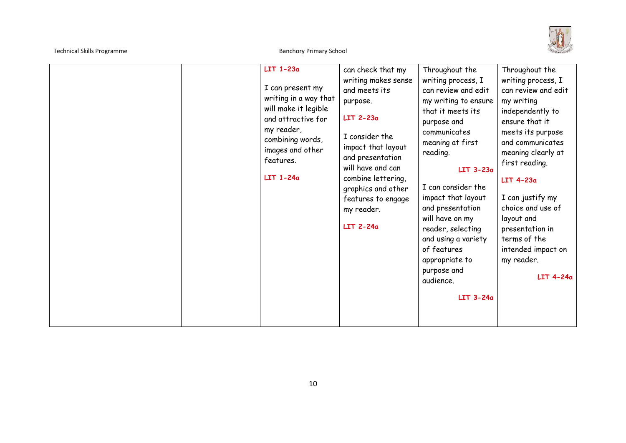

|  | $LIT$ 1-23 $\alpha$<br>I can present my<br>writing in a way that<br>will make it legible<br>and attractive for<br>my reader,<br>combining words,<br>images and other<br>features.<br>$LIT$ 1-24 $\alpha$ | can check that my<br>writing makes sense<br>and meets its<br>purpose.<br>$LIT$ 2-23 $a$<br>I consider the<br>impact that layout<br>and presentation<br>will have and can<br>combine lettering,<br>graphics and other<br>features to engage<br>my reader.<br>$LIT$ 2-24 $a$ | Throughout the<br>writing process, I<br>can review and edit<br>my writing to ensure<br>that it meets its<br>purpose and<br>communicates<br>meaning at first<br>reading.<br>$LIT$ 3-23 $\alpha$<br>I can consider the<br>impact that layout<br>and presentation<br>will have on my<br>reader, selecting<br>and using a variety<br>of features<br>appropriate to<br>purpose and<br>audience.<br>$LIT$ 3-24 $a$ | Throughout the<br>writing process, I<br>can review and edit<br>my writing<br>independently to<br>ensure that it<br>meets its purpose<br>and communicates<br>meaning clearly at<br>first reading.<br>LIT 4-23a<br>I can justify my<br>choice and use of<br>layout and<br>presentation in<br>terms of the<br>intended impact on<br>my reader.<br>$LIT 4-24a$ |
|--|----------------------------------------------------------------------------------------------------------------------------------------------------------------------------------------------------------|----------------------------------------------------------------------------------------------------------------------------------------------------------------------------------------------------------------------------------------------------------------------------|--------------------------------------------------------------------------------------------------------------------------------------------------------------------------------------------------------------------------------------------------------------------------------------------------------------------------------------------------------------------------------------------------------------|------------------------------------------------------------------------------------------------------------------------------------------------------------------------------------------------------------------------------------------------------------------------------------------------------------------------------------------------------------|